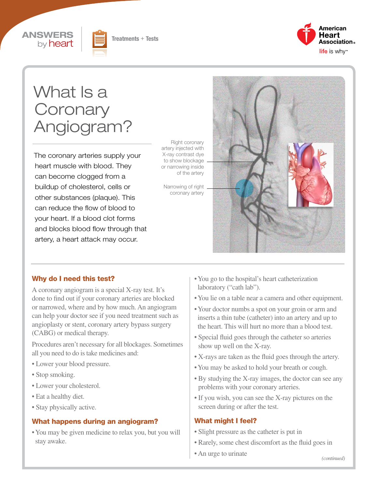





# What **Is a Coronary** Angiogram?

The coronary arteries supply your heart muscle with blood. They can become clogged from a buildup of cholesterol, cells or other substances (plaque). This can reduce the flow of blood to your heart. If a blood clot forms and blocks blood flow through that artery, a heart attack may occur.

Right coronary artery injected with X-ray contrast dye to show blockage or narrowing inside of the artery

Narrowing of right coronary artery



#### Why do I need this test?

A coronary angiogram is a special X-ray test. It's done to find out if your coronary arteries are blocked or narrowed, where and by how much. An angiogram can help your doctor see if you need treatment such as angioplasty or stent, coronary artery bypass surgery (CABG) or medical therapy.

Procedures aren't necessary for all blockages. Sometimes all you need to do is take medicines and:

- Lower your blood pressure.
- Stop smoking.
- Lower your cholesterol.
- Eat a healthy diet.
- Stay physically active.

#### What happens during an angiogram?

• You may be given medicine to relax you, but you will stay awake.

- You go to the hospital's heart catheterization laboratory ("cath lab").
- You lie on a table near a camera and other equipment.
- Your doctor numbs a spot on your groin or arm and inserts a thin tube (catheter) into an artery and up to the heart. This will hurt no more than a blood test.
- Special fluid goes through the catheter so arteries show up well on the X-ray.
- X-rays are taken as the fluid goes through the artery.
- You may be asked to hold your breath or cough.
- By studying the X-ray images, the doctor can see any problems with your coronary arteries.
- If you wish, you can see the X-ray pictures on the screen during or after the test.

#### What might I feel?

- Slight pressure as the catheter is put in
- Rarely, some chest discomfort as the fluid goes in
- An urge to urinate